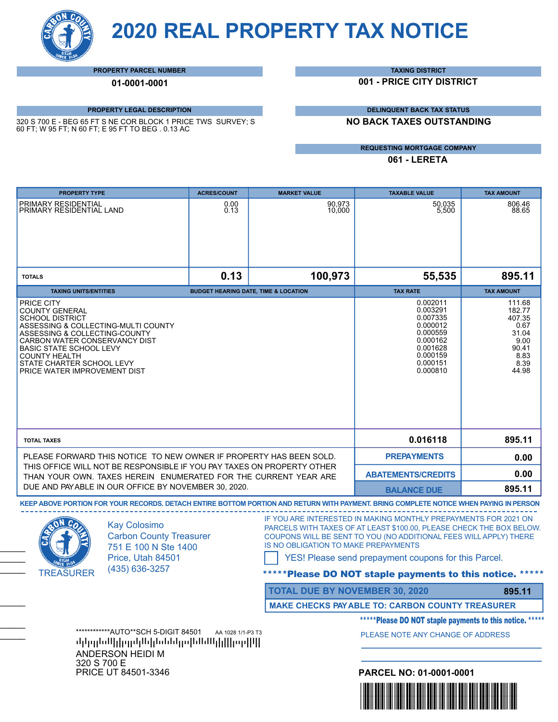**2020 REAL PROPERTY TAX NOTICE**

**PROPERTY PARCEL NUMBER**

**01-0001-0001**

## **PROPERTY LEGAL DESCRIPTION**

320 S 700 E - BEG 65 FT S NE COR BLOCK 1 PRICE TWS SURVEY; S 60 FT; W 95 FT; N 60 FT; E 95 FT TO BEG . 0.13 AC

**TAXING DISTRICT**

**001 - PRICE CITY DISTRICT**

**DELINQUENT BACK TAX STATUS**

**NO BACK TAXES OUTSTANDING**

**REQUESTING MORTGAGE COMPANY**

**061 - LERETA**

| <b>PROPERTY TYPE</b>                                                                                                                                                                                                                                                                          |                                                                                                                             | <b>ACRES/COUNT</b>                              | <b>MARKET VALUE</b>                   | <b>TAXABLE VALUE</b>                                                                                                                                                                                                                                                                                                     | <b>TAX AMOUNT</b>                                                                     |  |
|-----------------------------------------------------------------------------------------------------------------------------------------------------------------------------------------------------------------------------------------------------------------------------------------------|-----------------------------------------------------------------------------------------------------------------------------|-------------------------------------------------|---------------------------------------|--------------------------------------------------------------------------------------------------------------------------------------------------------------------------------------------------------------------------------------------------------------------------------------------------------------------------|---------------------------------------------------------------------------------------|--|
| PRIMARY RESIDENTIAL<br>PRIMARY RESIDENTIAL LAND                                                                                                                                                                                                                                               |                                                                                                                             | 0.00<br>0.13                                    | 90,973<br>10,000                      | 50.035<br>5,500                                                                                                                                                                                                                                                                                                          | 806.46<br>88.65                                                                       |  |
|                                                                                                                                                                                                                                                                                               |                                                                                                                             |                                                 |                                       |                                                                                                                                                                                                                                                                                                                          |                                                                                       |  |
| <b>TOTALS</b>                                                                                                                                                                                                                                                                                 |                                                                                                                             | 0.13                                            | 100,973                               | 55,535                                                                                                                                                                                                                                                                                                                   | 895.11                                                                                |  |
| <b>TAXING UNITS/ENTITIES</b>                                                                                                                                                                                                                                                                  |                                                                                                                             | <b>BUDGET HEARING DATE, TIME &amp; LOCATION</b> |                                       | <b>TAX RATE</b>                                                                                                                                                                                                                                                                                                          | <b>TAX AMOUNT</b>                                                                     |  |
| PRICE CITY<br><b>COUNTY GENERAL</b><br><b>SCHOOL DISTRICT</b><br>ASSESSING & COLLECTING-MULTI COUNTY<br>ASSESSING & COLLECTING-COUNTY<br>CARBON WATER CONSERVANCY DIST<br><b>BASIC STATE SCHOOL LEVY</b><br><b>COUNTY HEALTH</b><br>STATE CHARTER SCHOOL LEVY<br>PRICE WATER IMPROVEMENT DIST |                                                                                                                             |                                                 |                                       | 0.002011<br>0.003291<br>0.007335<br>0.000012<br>0.000559<br>0.000162<br>0.001628<br>0.000159<br>0.000151<br>0.000810                                                                                                                                                                                                     | 111.68<br>182.77<br>407.35<br>0.67<br>31.04<br>9.00<br>90.41<br>8.83<br>8.39<br>44.98 |  |
| <b>TOTAL TAXES</b><br>PLEASE FORWARD THIS NOTICE TO NEW OWNER IF PROPERTY HAS BEEN SOLD.<br>THIS OFFICE WILL NOT BE RESPONSIBLE IF YOU PAY TAXES ON PROPERTY OTHER<br>THAN YOUR OWN. TAXES HEREIN ENUMERATED FOR THE CURRENT YEAR ARE<br>DUE AND PAYABLE IN OUR OFFICE BY NOVEMBER 30, 2020.  |                                                                                                                             |                                                 | 0.016118                              | 895.11                                                                                                                                                                                                                                                                                                                   |                                                                                       |  |
|                                                                                                                                                                                                                                                                                               |                                                                                                                             |                                                 | <b>PREPAYMENTS</b>                    | 0.00                                                                                                                                                                                                                                                                                                                     |                                                                                       |  |
|                                                                                                                                                                                                                                                                                               |                                                                                                                             |                                                 | <b>ABATEMENTS/CREDITS</b>             | 0.00                                                                                                                                                                                                                                                                                                                     |                                                                                       |  |
|                                                                                                                                                                                                                                                                                               |                                                                                                                             |                                                 | <b>BALANCE DUE</b>                    | 895.11                                                                                                                                                                                                                                                                                                                   |                                                                                       |  |
|                                                                                                                                                                                                                                                                                               |                                                                                                                             |                                                 |                                       | KEEP ABOVE PORTION FOR YOUR RECORDS. DETACH ENTIRE BOTTOM PORTION AND RETURN WITH PAYMENT. BRING COMPLETE NOTICE WHEN PAYING IN PERSON                                                                                                                                                                                   |                                                                                       |  |
| <b>TREASURER</b>                                                                                                                                                                                                                                                                              | <b>Kay Colosimo</b><br><b>Carbon County Treasurer</b><br>751 E 100 N Ste 1400<br>Price, Utah 84501<br>(435) 636-3257        |                                                 | IS NO OBLIGATION TO MAKE PREPAYMENTS  | IF YOU ARE INTERESTED IN MAKING MONTHLY PREPAYMENTS FOR 2021 ON<br>PARCELS WITH TAXES OF AT LEAST \$100.00, PLEASE CHECK THE BOX BELOW.<br>COUPONS WILL BE SENT TO YOU (NO ADDITIONAL FEES WILL APPLY) THERE<br>YES! Please send prepayment coupons for this Parcel.<br>*Please DO NOT staple payments to this notice. * |                                                                                       |  |
|                                                                                                                                                                                                                                                                                               |                                                                                                                             |                                                 | <b>TOTAL DUE BY NOVEMBER 30, 2020</b> |                                                                                                                                                                                                                                                                                                                          | 895.11                                                                                |  |
|                                                                                                                                                                                                                                                                                               |                                                                                                                             |                                                 |                                       | <b>MAKE CHECKS PAY ABLE TO: CARBON COUNTY TREASURER</b>                                                                                                                                                                                                                                                                  |                                                                                       |  |
|                                                                                                                                                                                                                                                                                               |                                                                                                                             |                                                 |                                       | *****Please DO NOT staple payments to this notice. *****                                                                                                                                                                                                                                                                 |                                                                                       |  |
|                                                                                                                                                                                                                                                                                               | ************AUTO**SCH 5-DIGIT 84501<br>AA 1028 1/1-P3 T3<br>իկերգին Սիկրութին հետևին կարող ինչպես կարին<br>ANDERSON HEIDI M |                                                 |                                       | PLEASE NOTE ANY CHANGE OF ADDRESS                                                                                                                                                                                                                                                                                        |                                                                                       |  |
|                                                                                                                                                                                                                                                                                               |                                                                                                                             |                                                 |                                       |                                                                                                                                                                                                                                                                                                                          |                                                                                       |  |
| 320 S 700 E<br>PRICE UT 84501-3346                                                                                                                                                                                                                                                            |                                                                                                                             |                                                 |                                       | PARCEL NO: 01-0001-0001                                                                                                                                                                                                                                                                                                  |                                                                                       |  |
|                                                                                                                                                                                                                                                                                               |                                                                                                                             |                                                 |                                       | <u> III. An Dùbhlachd an </u>                                                                                                                                                                                                                                                                                            |                                                                                       |  |